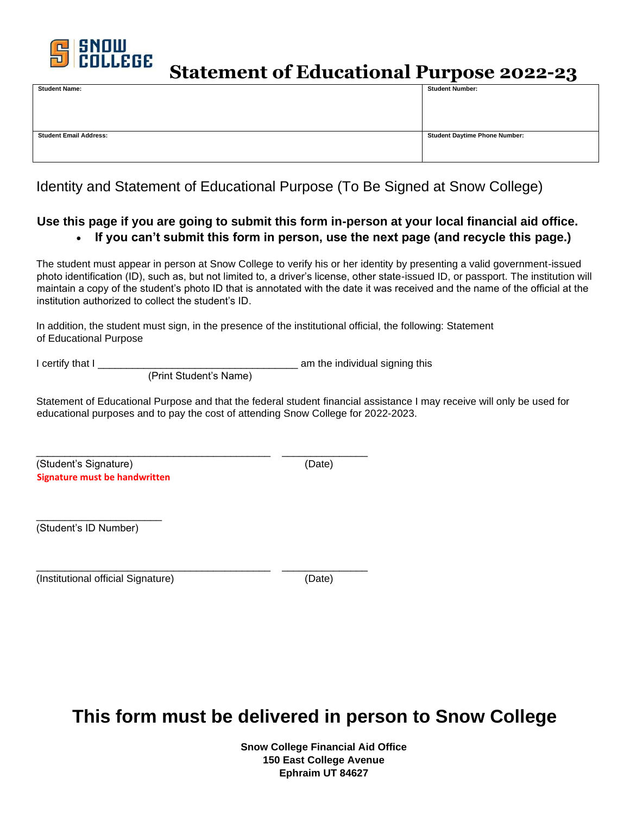

**Statement of Educational Purpose 2022-23**

| <b>Student Number:</b>               |
|--------------------------------------|
|                                      |
|                                      |
|                                      |
|                                      |
| <b>Student Daytime Phone Number:</b> |
|                                      |
|                                      |
|                                      |

Identity and Statement of Educational Purpose (To Be Signed at Snow College)

### **Use this page if you are going to submit this form in-person at your local financial aid office.**  • **If you can't submit this form in person, use the next page (and recycle this page.)**

The student must appear in person at Snow College to verify his or her identity by presenting a valid government-issued photo identification (ID), such as, but not limited to, a driver's license, other state-issued ID, or passport. The institution will maintain a copy of the student's photo ID that is annotated with the date it was received and the name of the official at the institution authorized to collect the student's ID.

In addition, the student must sign, in the presence of the institutional official, the following: Statement of Educational Purpose

I certify that I \_\_\_\_\_\_\_\_\_\_\_\_\_\_\_\_\_\_\_\_\_\_\_\_\_\_\_\_\_\_\_\_\_\_\_ am the individual signing this

(Print Student's Name)

\_\_\_\_\_\_\_\_\_\_\_\_\_\_\_\_\_\_\_\_\_\_\_\_\_\_\_\_\_\_\_\_\_\_\_\_\_\_\_\_\_ \_\_\_\_\_\_\_\_\_\_\_\_\_\_\_

Statement of Educational Purpose and that the federal student financial assistance I may receive will only be used for educational purposes and to pay the cost of attending Snow College for 2022-2023.

(Student's Signature) (Date) **Signature must be handwritten** 

\_\_\_\_\_\_\_\_\_\_\_\_\_\_\_\_\_\_\_\_\_\_

(Student's ID Number)

\_\_\_\_\_\_\_\_\_\_\_\_\_\_\_\_\_\_\_\_\_\_\_\_\_\_\_\_\_\_\_\_\_\_\_\_\_\_\_\_\_ \_\_\_\_\_\_\_\_\_\_\_\_\_\_\_ (Institutional official Signature) (Date)

# **This form must be delivered in person to Snow College**

**Snow College Financial Aid Office 150 East College Avenue Ephraim UT 84627**